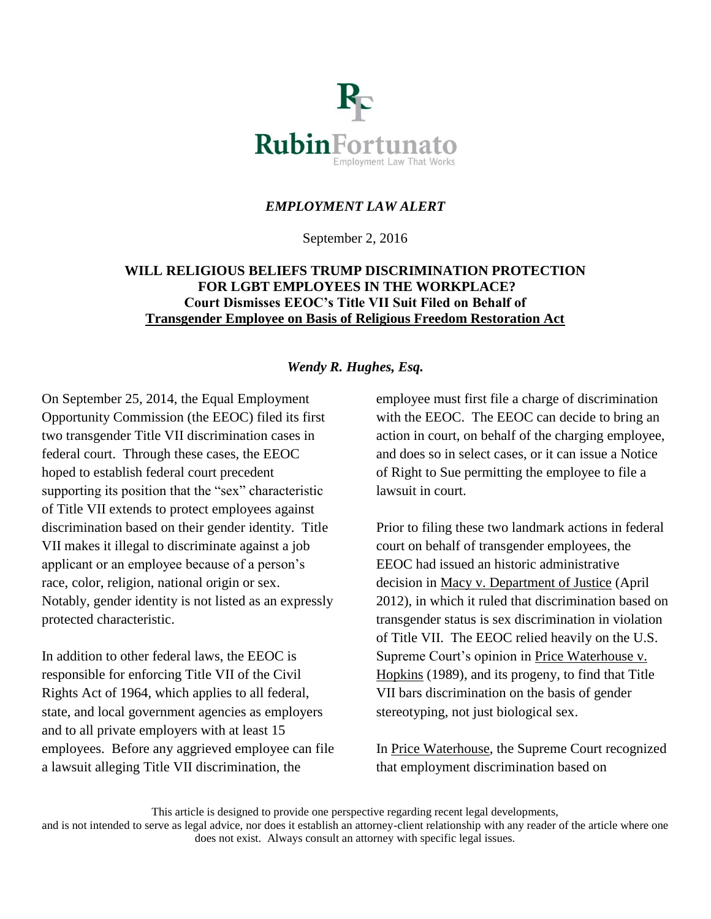

# *EMPLOYMENT LAW ALERT*

September 2, 2016

## **WILL RELIGIOUS BELIEFS TRUMP DISCRIMINATION PROTECTION FOR LGBT EMPLOYEES IN THE WORKPLACE? Court Dismisses EEOC's Title VII Suit Filed on Behalf of Transgender Employee on Basis of Religious Freedom Restoration Act**

## *Wendy R. Hughes, Esq.*

On September 25, 2014, the Equal Employment Opportunity Commission (the EEOC) filed its first two transgender Title VII discrimination cases in federal court. Through these cases, the EEOC hoped to establish federal court precedent supporting its position that the "sex" characteristic of Title VII extends to protect employees against discrimination based on their gender identity. Title VII makes it illegal to discriminate against a job applicant or an employee because of a person's race, color, religion, national origin or sex. Notably, gender identity is not listed as an expressly protected characteristic.

In addition to other federal laws, the EEOC is responsible for enforcing Title VII of the Civil Rights Act of 1964, which applies to all federal, state, and local government agencies as employers and to all private employers with at least 15 employees. Before any aggrieved employee can file a lawsuit alleging Title VII discrimination, the

employee must first file a charge of discrimination with the EEOC. The EEOC can decide to bring an action in court, on behalf of the charging employee, and does so in select cases, or it can issue a Notice of Right to Sue permitting the employee to file a lawsuit in court.

Prior to filing these two landmark actions in federal court on behalf of transgender employees, the EEOC had issued an historic administrative decision in Macy v. Department of Justice (April 2012), in which it ruled that discrimination based on transgender status is sex discrimination in violation of Title VII. The EEOC relied heavily on the U.S. Supreme Court's opinion in Price Waterhouse v. Hopkins (1989), and its progeny, to find that Title VII bars discrimination on the basis of gender stereotyping, not just biological sex.

In Price Waterhouse, the Supreme Court recognized that employment discrimination based on

This article is designed to provide one perspective regarding recent legal developments,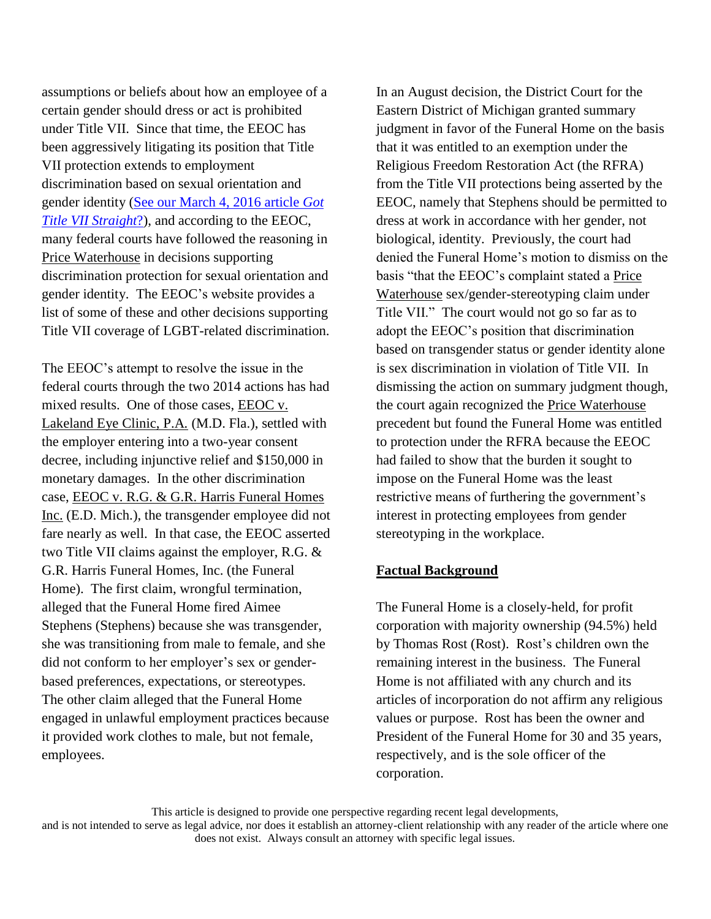assumptions or beliefs about how an employee of a certain gender should dress or act is prohibited under Title VII. Since that time, the EEOC has been aggressively litigating its position that Title VII protection extends to employment discrimination based on sexual orientation and gender identity [\(See our March 4, 2016 article](http://www.rubinfortunato.com/news/got-title-vii-straight-eeoc-files-federal-sex-discrimination-lawsuits-on-behalf-of-discharged-lgbt/) *Got [Title VII Straight](http://www.rubinfortunato.com/news/got-title-vii-straight-eeoc-files-federal-sex-discrimination-lawsuits-on-behalf-of-discharged-lgbt/)*?), and according to the EEOC, many federal courts have followed the reasoning in Price Waterhouse in decisions supporting discrimination protection for sexual orientation and gender identity. The EEOC's website provides a list of some of these and other decisions supporting Title VII coverage of LGBT-related discrimination.

The EEOC's attempt to resolve the issue in the federal courts through the two 2014 actions has had mixed results. One of those cases, EEOC v. Lakeland Eye Clinic, P.A*.* (M.D. Fla.), settled with the employer entering into a two-year consent decree, including injunctive relief and \$150,000 in monetary damages. In the other discrimination case, EEOC v. R.G. & G.R. Harris Funeral Homes Inc. (E.D. Mich.), the transgender employee did not fare nearly as well. In that case, the EEOC asserted two Title VII claims against the employer, R.G. & G.R. Harris Funeral Homes, Inc. (the Funeral Home). The first claim, wrongful termination, alleged that the Funeral Home fired Aimee Stephens (Stephens) because she was transgender, she was transitioning from male to female, and she did not conform to her employer's sex or genderbased preferences, expectations, or stereotypes. The other claim alleged that the Funeral Home engaged in unlawful employment practices because it provided work clothes to male, but not female, employees.

In an August decision, the District Court for the Eastern District of Michigan granted summary judgment in favor of the Funeral Home on the basis that it was entitled to an exemption under the Religious Freedom Restoration Act (the RFRA) from the Title VII protections being asserted by the EEOC, namely that Stephens should be permitted to dress at work in accordance with her gender, not biological, identity. Previously, the court had denied the Funeral Home's motion to dismiss on the basis "that the EEOC's complaint stated a Price Waterhouse sex/gender-stereotyping claim under Title VII." The court would not go so far as to adopt the EEOC's position that discrimination based on transgender status or gender identity alone is sex discrimination in violation of Title VII. In dismissing the action on summary judgment though, the court again recognized the Price Waterhouse precedent but found the Funeral Home was entitled to protection under the RFRA because the EEOC had failed to show that the burden it sought to impose on the Funeral Home was the least restrictive means of furthering the government's interest in protecting employees from gender stereotyping in the workplace.

### **Factual Background**

The Funeral Home is a closely-held, for profit corporation with majority ownership (94.5%) held by Thomas Rost (Rost). Rost's children own the remaining interest in the business. The Funeral Home is not affiliated with any church and its articles of incorporation do not affirm any religious values or purpose. Rost has been the owner and President of the Funeral Home for 30 and 35 years, respectively, and is the sole officer of the corporation.

This article is designed to provide one perspective regarding recent legal developments,

and is not intended to serve as legal advice, nor does it establish an attorney-client relationship with any reader of the article where one does not exist. Always consult an attorney with specific legal issues.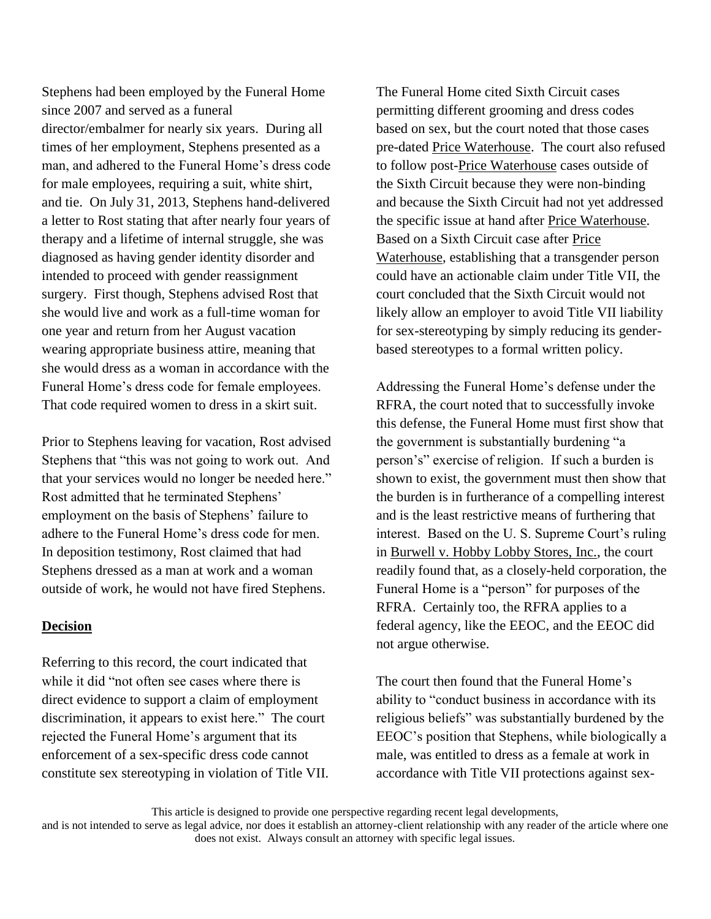Stephens had been employed by the Funeral Home since 2007 and served as a funeral director/embalmer for nearly six years. During all times of her employment, Stephens presented as a man, and adhered to the Funeral Home's dress code for male employees, requiring a suit, white shirt, and tie. On July 31, 2013, Stephens hand-delivered a letter to Rost stating that after nearly four years of therapy and a lifetime of internal struggle, she was diagnosed as having gender identity disorder and intended to proceed with gender reassignment surgery. First though, Stephens advised Rost that she would live and work as a full-time woman for one year and return from her August vacation wearing appropriate business attire, meaning that she would dress as a woman in accordance with the Funeral Home's dress code for female employees. That code required women to dress in a skirt suit.

Prior to Stephens leaving for vacation, Rost advised Stephens that "this was not going to work out. And that your services would no longer be needed here." Rost admitted that he terminated Stephens' employment on the basis of Stephens' failure to adhere to the Funeral Home's dress code for men. In deposition testimony, Rost claimed that had Stephens dressed as a man at work and a woman outside of work, he would not have fired Stephens.

#### **Decision**

Referring to this record, the court indicated that while it did "not often see cases where there is direct evidence to support a claim of employment discrimination, it appears to exist here." The court rejected the Funeral Home's argument that its enforcement of a sex-specific dress code cannot constitute sex stereotyping in violation of Title VII. The Funeral Home cited Sixth Circuit cases permitting different grooming and dress codes based on sex, but the court noted that those cases pre-dated Price Waterhouse. The court also refused to follow post-Price Waterhouse cases outside of the Sixth Circuit because they were non-binding and because the Sixth Circuit had not yet addressed the specific issue at hand after Price Waterhouse. Based on a Sixth Circuit case after Price Waterhouse, establishing that a transgender person could have an actionable claim under Title VII, the court concluded that the Sixth Circuit would not likely allow an employer to avoid Title VII liability for sex-stereotyping by simply reducing its genderbased stereotypes to a formal written policy.

Addressing the Funeral Home's defense under the RFRA, the court noted that to successfully invoke this defense, the Funeral Home must first show that the government is substantially burdening "a person's" exercise of religion. If such a burden is shown to exist, the government must then show that the burden is in furtherance of a compelling interest and is the least restrictive means of furthering that interest. Based on the U. S. Supreme Court's ruling in Burwell v. Hobby Lobby Stores, Inc., the court readily found that, as a closely-held corporation, the Funeral Home is a "person" for purposes of the RFRA. Certainly too, the RFRA applies to a federal agency, like the EEOC, and the EEOC did not argue otherwise.

The court then found that the Funeral Home's ability to "conduct business in accordance with its religious beliefs" was substantially burdened by the EEOC's position that Stephens, while biologically a male, was entitled to dress as a female at work in accordance with Title VII protections against sex-

This article is designed to provide one perspective regarding recent legal developments,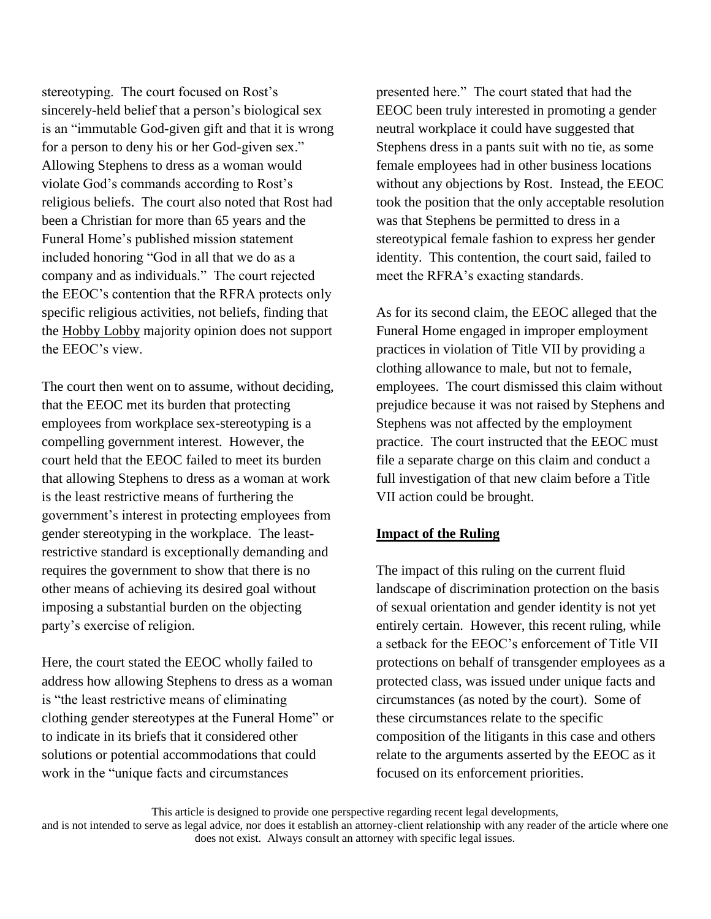stereotyping. The court focused on Rost's sincerely-held belief that a person's biological sex is an "immutable God-given gift and that it is wrong for a person to deny his or her God-given sex." Allowing Stephens to dress as a woman would violate God's commands according to Rost's religious beliefs. The court also noted that Rost had been a Christian for more than 65 years and the Funeral Home's published mission statement included honoring "God in all that we do as a company and as individuals." The court rejected the EEOC's contention that the RFRA protects only specific religious activities, not beliefs, finding that the Hobby Lobby majority opinion does not support the EEOC's view.

The court then went on to assume, without deciding, that the EEOC met its burden that protecting employees from workplace sex-stereotyping is a compelling government interest. However, the court held that the EEOC failed to meet its burden that allowing Stephens to dress as a woman at work is the least restrictive means of furthering the government's interest in protecting employees from gender stereotyping in the workplace. The leastrestrictive standard is exceptionally demanding and requires the government to show that there is no other means of achieving its desired goal without imposing a substantial burden on the objecting party's exercise of religion.

Here, the court stated the EEOC wholly failed to address how allowing Stephens to dress as a woman is "the least restrictive means of eliminating clothing gender stereotypes at the Funeral Home" or to indicate in its briefs that it considered other solutions or potential accommodations that could work in the "unique facts and circumstances

presented here." The court stated that had the EEOC been truly interested in promoting a gender neutral workplace it could have suggested that Stephens dress in a pants suit with no tie, as some female employees had in other business locations without any objections by Rost. Instead, the EEOC took the position that the only acceptable resolution was that Stephens be permitted to dress in a stereotypical female fashion to express her gender identity. This contention, the court said, failed to meet the RFRA's exacting standards.

As for its second claim, the EEOC alleged that the Funeral Home engaged in improper employment practices in violation of Title VII by providing a clothing allowance to male, but not to female, employees. The court dismissed this claim without prejudice because it was not raised by Stephens and Stephens was not affected by the employment practice. The court instructed that the EEOC must file a separate charge on this claim and conduct a full investigation of that new claim before a Title VII action could be brought.

## **Impact of the Ruling**

The impact of this ruling on the current fluid landscape of discrimination protection on the basis of sexual orientation and gender identity is not yet entirely certain. However, this recent ruling, while a setback for the EEOC's enforcement of Title VII protections on behalf of transgender employees as a protected class, was issued under unique facts and circumstances (as noted by the court). Some of these circumstances relate to the specific composition of the litigants in this case and others relate to the arguments asserted by the EEOC as it focused on its enforcement priorities.

This article is designed to provide one perspective regarding recent legal developments,